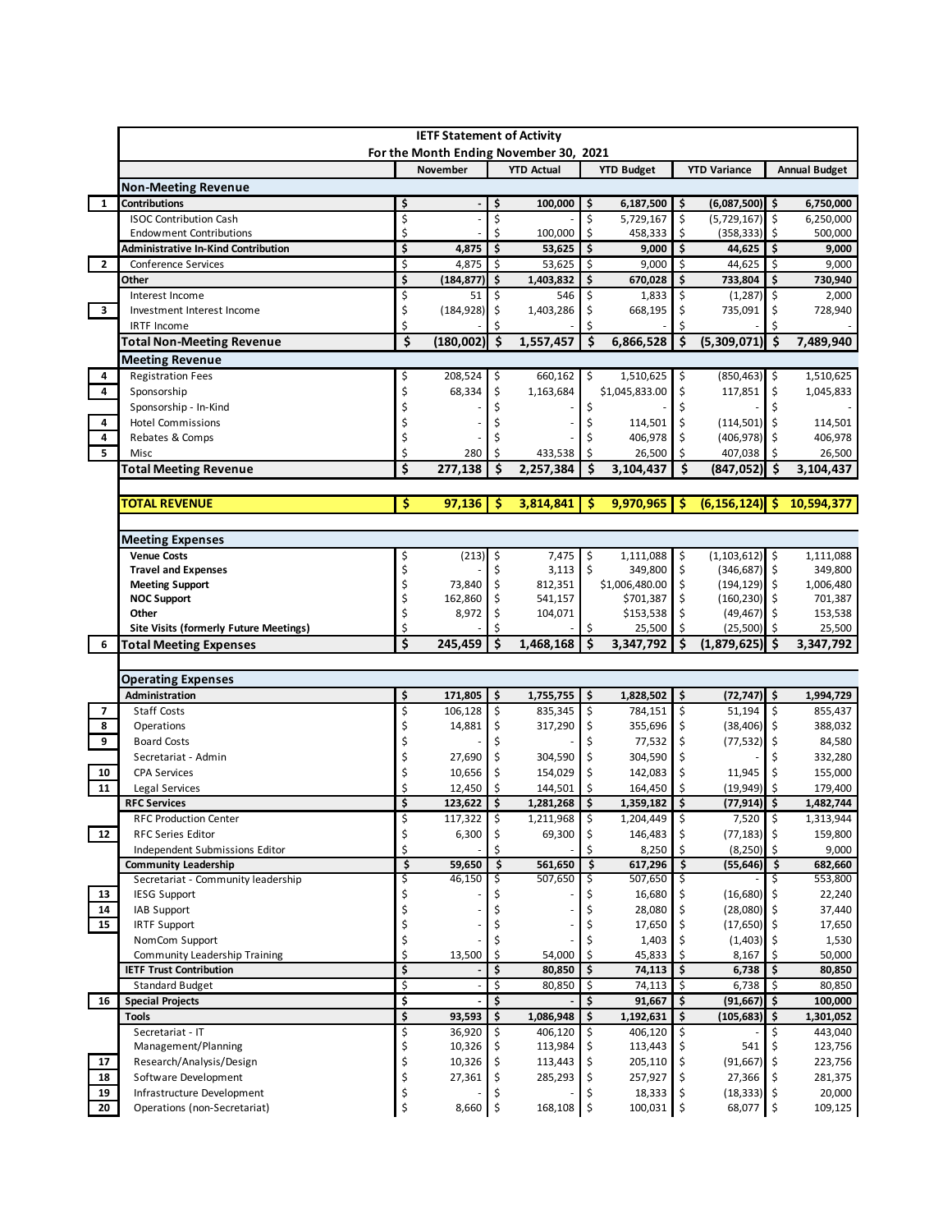|                                                                        |          | <b>IETF Statement of Activity</b> |            | For the Month Ending November 30, 2021 |         |                      |                    |                                 |                      |                                                                                                       |
|------------------------------------------------------------------------|----------|-----------------------------------|------------|----------------------------------------|---------|----------------------|--------------------|---------------------------------|----------------------|-------------------------------------------------------------------------------------------------------|
|                                                                        |          | November                          |            | <b>YTD Actual</b>                      |         | <b>YTD Budget</b>    |                    | <b>YTD Variance</b>             | <b>Annual Budget</b> |                                                                                                       |
| <b>Non-Meeting Revenue</b>                                             |          |                                   |            |                                        |         |                      |                    |                                 |                      |                                                                                                       |
| <b>Contributions</b><br>$\mathbf{1}$                                   | \$       |                                   | \$         | 100,000                                | \$      | 6,187,500            | \$                 | $(6,087,500)$ \$                |                      | 6,750,000                                                                                             |
| <b>ISOC Contribution Cash</b>                                          | \$       |                                   | \$         |                                        | \$      | 5,729,167            | \$                 | $(5,729,167)$ \$                |                      | 6,250,000                                                                                             |
| <b>Endowment Contributions</b>                                         | Ś        |                                   | Ś          | 100,000                                | \$      | 458,333              | \$                 | (358, 333)                      | l \$                 | 500,000                                                                                               |
| <b>Administrative In-Kind Contribution</b>                             | \$       | 4,875                             | \$         | 53,625                                 | \$      | 9,000                | \$                 | $44,625$ \$                     |                      | 9,000                                                                                                 |
| $\mathbf{2}$<br>Conference Services                                    | \$       | 4,875                             | $\vert$ \$ | 53,625                                 | \$      | 9,000                | Ŝ.                 | 44,625                          | \$                   | 9,000                                                                                                 |
| Other                                                                  | \$       | $(184, 877)$ \$                   |            | 1,403,832                              | \$      | 670,028              | \$                 | 733,804                         | \$                   | 730,940                                                                                               |
| Interest Income                                                        | \$       | 51                                | Ś.         | 546                                    | Ś       | 1,833                | \$                 | (1, 287)                        | \$                   | 2,000                                                                                                 |
| $\overline{\mathbf{3}}$<br>Investment Interest Income                  | \$       | (184, 928)                        | \$         | 1,403,286                              | \$      | 668,195              | \$                 | 735,091                         | \$                   | 728,940                                                                                               |
| <b>IRTF Income</b>                                                     | Ś        |                                   |            |                                        |         |                      |                    |                                 |                      |                                                                                                       |
| <b>Total Non-Meeting Revenue</b>                                       | \$       | (180,002)                         | \$         | 1,557,457                              | \$      | 6,866,528            | \$                 | $(5,309,071)$ \$                |                      | 7,489,940                                                                                             |
| Meeting Revenue                                                        |          |                                   |            |                                        |         |                      |                    |                                 |                      |                                                                                                       |
| <b>Registration Fees</b><br>4                                          | \$       | 208,524                           | \$         | 660,162                                | \$      | 1,510,625            | \$                 | $(850, 463)$ \$                 |                      | 1,510,625                                                                                             |
| 4<br>Sponsorship                                                       | \$       | 68,334                            | \$         | 1,163,684                              |         | \$1,045,833.00       | \$                 | 117,851                         | \$                   | 1,045,833                                                                                             |
| Sponsorship - In-Kind                                                  |          |                                   |            |                                        | \$      |                      | Ś                  |                                 | \$                   |                                                                                                       |
| 4<br><b>Hotel Commissions</b>                                          |          |                                   |            |                                        |         | 114,501              | \$                 | (114, 501)                      | Ŝ.                   | 114,501                                                                                               |
| 4<br>Rebates & Comps                                                   |          |                                   |            |                                        |         | 406,978              | \$                 | $(406,978)$ \$                  |                      | 406,978                                                                                               |
| $\overline{5}$<br>Misc                                                 | Ś        | 280                               |            | 433,538                                | Ś       | 26,500               | Ś                  | 407,038                         | Ŝ.                   | 26,500                                                                                                |
| <b>Total Meeting Revenue</b>                                           | \$       | 277,138                           |            | 2,257,384                              | Ś       | 3,104,437            | \$                 | (847, 052)                      | -S                   | 3,104,437                                                                                             |
|                                                                        |          |                                   |            |                                        |         |                      |                    |                                 |                      |                                                                                                       |
| TOTAL REVENUE                                                          | Ś        | 97,136                            | S          | 3,814,841                              | S       | 9,970,965            | S                  | (6, 156, 124)                   | -S                   | 10,594,377                                                                                            |
|                                                                        |          |                                   |            |                                        |         |                      |                    |                                 |                      |                                                                                                       |
|                                                                        |          |                                   |            |                                        |         |                      |                    |                                 |                      |                                                                                                       |
| <b>Meeting Expenses</b>                                                |          |                                   |            |                                        |         |                      |                    |                                 |                      |                                                                                                       |
| <b>Venue Costs</b>                                                     | \$       | (213)                             | \$         | 7,475                                  | \$      | 1,111,088            | \$                 | $(1,103,612)$ \$                |                      | 1,111,088                                                                                             |
| <b>Travel and Expenses</b>                                             | \$       |                                   | \$         | 3,113                                  | \$      | 349,800              | \$                 | $(346, 687)$ \$                 |                      | 349,800                                                                                               |
| <b>Meeting Support</b>                                                 | Ś        | 73,840                            | \$         | 812,351                                |         | \$1,006,480.00       | \$                 | $(194, 129)$ \$                 |                      | 1,006,480                                                                                             |
| <b>NOC Support</b>                                                     | \$       | 162,860                           | \$         | 541,157                                |         | \$701,387            | \$<br>\$           | $(160, 230)$ \$                 |                      | 701,387                                                                                               |
| Other<br><b>Site Visits (formerly Future Meetings)</b>                 | \$<br>\$ | 8,972                             | \$         | 104,071                                | \$      | \$153,538<br>25,500  | Ś.                 | $(49, 467)$ \$<br>$(25,500)$ \$ |                      | 153,538<br>25,500                                                                                     |
| 6                                                                      | \$       | 245,459                           | \$         | 1,468,168                              |         | 3,347,792            | Ś                  | (1,879,625)                     | .s                   | 3,347,792                                                                                             |
| <b>Total Meeting Expenses</b>                                          |          |                                   |            |                                        |         |                      |                    |                                 |                      |                                                                                                       |
|                                                                        |          |                                   |            |                                        |         |                      |                    |                                 |                      |                                                                                                       |
| <b>Operating Expenses</b>                                              |          |                                   |            |                                        |         |                      |                    |                                 |                      |                                                                                                       |
| Administration                                                         | \$       | 171,805                           | \$         | 1,755,755                              | \$      | 1,828,502            | \$                 | (72,747) \$                     |                      | 1,994,729                                                                                             |
| Staff Costs<br>$\overline{ }$                                          | \$       | $106,128$ \$                      |            | 835,345                                | \$      | 784,151              | \$                 | $51,194$ \$                     |                      | 855,437                                                                                               |
| 8<br>Operations                                                        |          | 14,881                            | \$         | 317,290                                | \$      | 355,696              | \$                 | $(38, 406)$ \$                  |                      | 388,032                                                                                               |
| 9<br><b>Board Costs</b>                                                |          |                                   |            |                                        |         | 77,532               | \$                 | (77, 532)                       | \$ ا                 | 84,580                                                                                                |
| Secretariat - Admin                                                    | \$       | 27,690                            | \$         | 304,590                                | \$      | 304,590              | \$                 |                                 | \$                   | 332,280                                                                                               |
| 10<br><b>CPA Services</b>                                              |          | 10,656                            | Ś          | 154,029                                | \$      | 142,083              | \$                 | 11,945                          | \$                   | 155,000                                                                                               |
| 11<br>Legal Services                                                   |          | 12,450                            |            |                                        |         |                      |                    |                                 |                      | 179,400                                                                                               |
|                                                                        |          |                                   |            | 144,501                                |         | 164,450              |                    | $(19,949)$ \$                   |                      |                                                                                                       |
| <b>RFC Services</b>                                                    | \$       | 123,622                           | \$         | 1,281,268                              | \$      | 1,359,182            | \$                 | $(77, 914)$ \$                  |                      |                                                                                                       |
| <b>RFC Production Center</b>                                           |          | 117,322                           | $\zeta$    | 1,211,968                              | $\zeta$ | 1,204,449            | $\dot{\mathsf{S}}$ | 7,520                           | \$                   | 1,482,744<br>1,313,944                                                                                |
| 12<br><b>RFC Series Editor</b>                                         | \$       | 6,300                             | \$         | 69,300                                 | \$      | 146,483              | \$                 | $(77, 183)$ \$                  |                      | 159,800                                                                                               |
| Independent Submissions Editor                                         | \$       |                                   |            |                                        |         | 8,250                | \$                 | $(8,250)$ \$                    |                      | 9,000                                                                                                 |
| <b>Community Leadership</b>                                            | \$       | 59,650                            | \$         | 561,650                                | \$      | 617,296              | \$                 | $(55, 646)$ \$                  |                      |                                                                                                       |
| Secretariat - Community leadership                                     | \$       | 46,150                            | Ş          | 507,650                                | Ş       | 507,650              | \$                 |                                 |                      |                                                                                                       |
| 13<br><b>IESG Support</b>                                              | \$       |                                   |            |                                        |         | 16,680               |                    | (16,680)                        | -\$                  |                                                                                                       |
| 14<br>IAB Support                                                      | \$       |                                   |            |                                        | Ś       | 28,080               | \$                 | $(28,080)$ \$                   |                      |                                                                                                       |
| <b>IRTF Support</b>                                                    | \$       |                                   |            |                                        |         | 17,650               | \$                 | $(17,650)$ \$                   |                      |                                                                                                       |
| NomCom Support                                                         | \$       |                                   |            |                                        |         | 1,403                |                    | (1,403)                         | \$                   |                                                                                                       |
| Community Leadership Training                                          | \$       | 13,500                            | \$         | 54,000                                 | \$      | 45,833               | Ś.                 | 8,167                           | \$                   |                                                                                                       |
| <b>IETF Trust Contribution</b>                                         | \$       |                                   | \$         | 80,850                                 | \$      | 74,113               | \$                 | 6,738                           | \$                   |                                                                                                       |
| <b>Standard Budget</b>                                                 | \$       |                                   | \$         | 80,850                                 | \$      | 74,113               | \$                 | 6,738                           | -\$                  | 80,850                                                                                                |
| 15<br>16<br><b>Special Projects</b>                                    | \$       |                                   | \$         |                                        | \$      | 91,667               | \$                 | (91,667)   \$                   |                      |                                                                                                       |
| <b>Tools</b>                                                           | \$       | 93,593                            | \$         | 1,086,948                              | \$      | 1,192,631            | \$                 | $(105, 683)$ \$                 |                      | 682,660<br>553,800<br>22,240<br>37,440<br>17,650<br>1,530<br>50,000<br>80,850<br>100,000<br>1,301,052 |
| Secretariat - IT                                                       | \$       | 36,920                            | \$         | 406,120                                | \$      | 406,120              | \$                 |                                 | \$                   | 443,040                                                                                               |
| Management/Planning                                                    | \$       | 10,326                            | \$         | 113,984                                | \$      | 113,443              | \$                 | 541                             | \$                   | 123,756                                                                                               |
| 17<br>Research/Analysis/Design                                         | Ś        | 10,326                            | \$         | 113,443                                | \$      | 205,110              | \$                 | $(91,667)$ \$                   |                      |                                                                                                       |
| 18<br>Software Development                                             | \$       | 27,361                            | \$         | 285,293                                | \$      | 257,927              | \$                 | 27,366                          | \$                   |                                                                                                       |
| 19<br>Infrastructure Development<br>20<br>Operations (non-Secretariat) | \$<br>\$ | 8,660 \$                          |            | 168,108 \$                             | \$      | 18,333<br>100,031 \$ | \$                 | $(18, 333)$ \$<br>68,077 \$     |                      | 223,756<br>281,375<br>20,000<br>109,125                                                               |